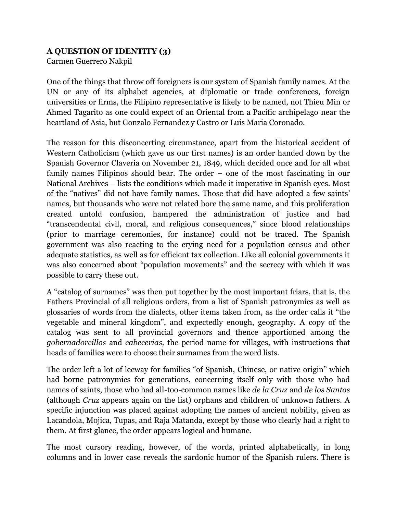## **A QUESTION OF IDENTITY (3)**

Carmen Guerrero Nakpil

One of the things that throw off foreigners is our system of Spanish family names. At the UN or any of its alphabet agencies, at diplomatic or trade conferences, foreign universities or firms, the Filipino representative is likely to be named, not Thieu Min or Ahmed Tagarito as one could expect of an Oriental from a Pacific archipelago near the heartland of Asia, but Gonzalo Fernandez y Castro or Luis Maria Coronado.

The reason for this disconcerting circumstance, apart from the historical accident of Western Catholicism (which gave us our first names) is an order handed down by the Spanish Governor Claveria on November 21, 1849, which decided once and for all what family names Filipinos should bear. The order – one of the most fascinating in our National Archives – lists the conditions which made it imperative in Spanish eyes. Most of the "natives" did not have family names. Those that did have adopted a few saints' names, but thousands who were not related bore the same name, and this proliferation created untold confusion, hampered the administration of justice and had "transcendental civil, moral, and religious consequences," since blood relationships (prior to marriage ceremonies, for instance) could not be traced. The Spanish government was also reacting to the crying need for a population census and other adequate statistics, as well as for efficient tax collection. Like all colonial governments it was also concerned about "population movements" and the secrecy with which it was possible to carry these out.

A "catalog of surnames" was then put together by the most important friars, that is, the Fathers Provincial of all religious orders, from a list of Spanish patronymics as well as glossaries of words from the dialects, other items taken from, as the order calls it "the vegetable and mineral kingdom", and expectedly enough, geography. A copy of the catalog was sent to all provincial governors and thence apportioned among the *gobernadorcillos* and *cabecerias,* the period name for villages, with instructions that heads of families were to choose their surnames from the word lists.

The order left a lot of leeway for families "of Spanish, Chinese, or native origin" which had borne patronymics for generations, concerning itself only with those who had names of saints, those who had all-too-common names like *de la Cruz* and *de los Santos* (although *Cruz* appears again on the list) orphans and children of unknown fathers. A specific injunction was placed against adopting the names of ancient nobility, given as Lacandola, Mojica, Tupas, and Raja Matanda, except by those who clearly had a right to them. At first glance, the order appears logical and humane.

The most cursory reading, however, of the words, printed alphabetically, in long columns and in lower case reveals the sardonic humor of the Spanish rulers. There is